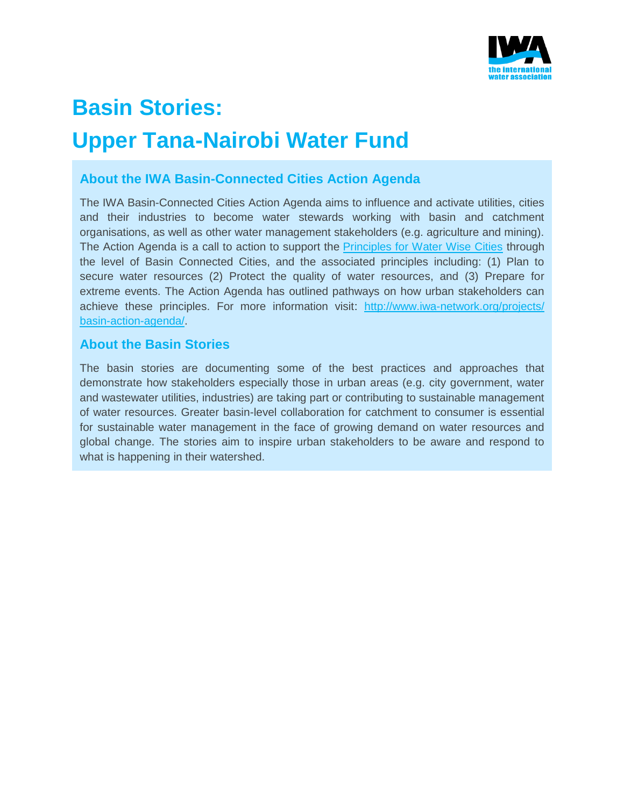

# **Basin Stories: Upper Tana-Nairobi Water Fund**

# **About the IWA Basin-Connected Cities Action Agenda**

The IWA Basin-Connected Cities Action Agenda aims to influence and activate utilities, cities and their industries to become water stewards working with basin and catchment organisations, as well as other water management stakeholders (e.g. agriculture and mining). The Action Agenda is a call to action to support the [Principles for Water Wise Cities](http://www.iwa-network.org/projects/water-wise-cities/) through the level of Basin Connected Cities, and the associated principles including: (1) Plan to secure water resources (2) Protect the quality of water resources, and (3) Prepare for extreme events. The Action Agenda has outlined pathways on how urban stakeholders can achieve these principles. For more information visit: [http://www.iwa-network.org/projects/](http://www.iwa-network.org/projects/basin-action-agenda/) [basin-action-agenda/.](http://www.iwa-network.org/projects/basin-action-agenda/)

# **About the Basin Stories**

The basin stories are documenting some of the best practices and approaches that demonstrate how stakeholders especially those in urban areas (e.g. city government, water and wastewater utilities, industries) are taking part or contributing to sustainable management of water resources. Greater basin-level collaboration for catchment to consumer is essential for sustainable water management in the face of growing demand on water resources and global change. The stories aim to inspire urban stakeholders to be aware and respond to what is happening in their watershed.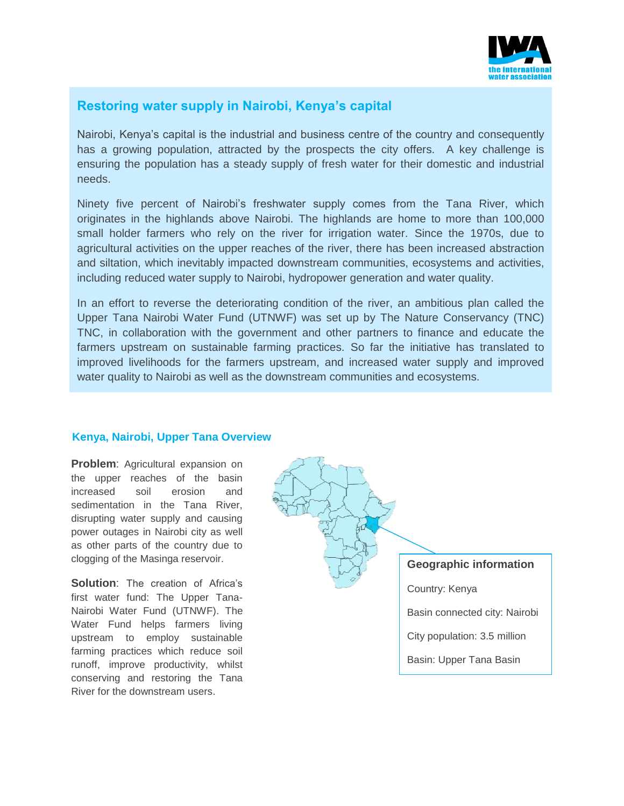

# **Restoring water supply in Nairobi, Kenya's capital**

Nairobi, Kenya's capital is the industrial and business centre of the country and consequently has a growing population, attracted by the prospects the city offers. A key challenge is ensuring the population has a steady supply of fresh water for their domestic and industrial needs.

Ninety five percent of Nairobi's freshwater supply comes from the Tana River, which originates in the highlands above Nairobi. The highlands are home to more than 100,000 small holder farmers who rely on the river for irrigation water. Since the 1970s, due to agricultural activities on the upper reaches of the river, there has been increased abstraction and siltation, which inevitably impacted downstream communities, ecosystems and activities, including reduced water supply to Nairobi, hydropower generation and water quality.

In an effort to reverse the deteriorating condition of the river, an ambitious plan called the Upper Tana Nairobi Water Fund (UTNWF) was set up by The Nature Conservancy (TNC) TNC, in collaboration with the government and other partners to finance and educate the farmers upstream on sustainable farming practices. So far the initiative has translated to improved livelihoods for the farmers upstream, and increased water supply and improved water quality to Nairobi as well as the downstream communities and ecosystems.

#### **Kenya, Nairobi, Upper Tana Overview**

**Problem:** Agricultural expansion on the upper reaches of the basin increased soil erosion and sedimentation in the Tana River, disrupting water supply and causing power outages in Nairobi city as well as other parts of the country due to clogging of the Masinga reservoir.

**Solution:** The creation of Africa's first water fund: The Upper Tana-Nairobi Water Fund (UTNWF). The Water Fund helps farmers living upstream to employ sustainable farming practices which reduce soil runoff, improve productivity, whilst conserving and restoring the Tana River for the downstream users.

**Geographic information**

Country: Kenya

Basin connected city: Nairobi

City population: 3.5 million

Basin: Upper Tana Basin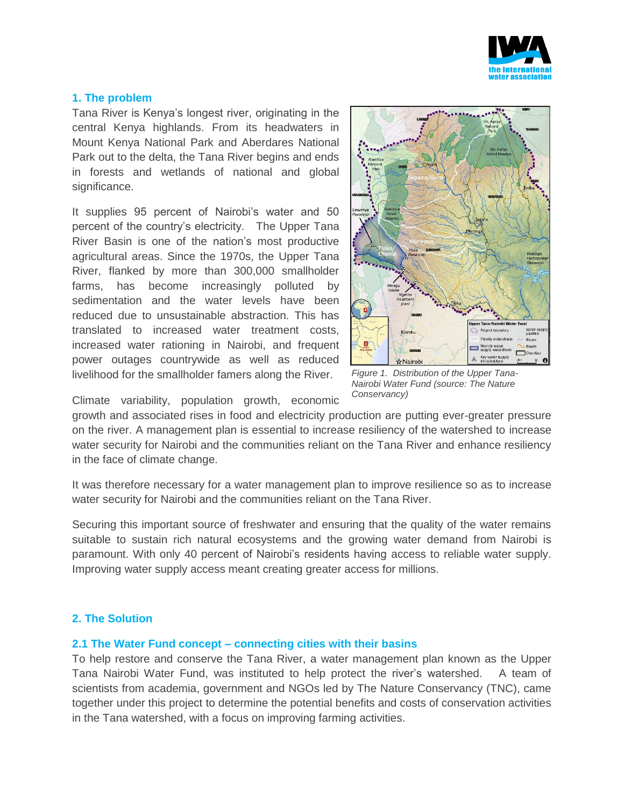

#### **1. The problem**

Tana River is Kenya's longest river, originating in the central Kenya highlands. From its headwaters in Mount Kenya National Park and Aberdares National Park out to the delta, the Tana River begins and ends in forests and wetlands of national and global significance.

It supplies 95 percent of Nairobi's water and 50 percent of the country's electricity. The Upper Tana River Basin is one of the nation's most productive agricultural areas. Since the 1970s, the Upper Tana River, flanked by more than 300,000 smallholder farms, has become increasingly polluted by sedimentation and the water levels have been reduced due to unsustainable abstraction. This has translated to increased water treatment costs, increased water rationing in Nairobi, and frequent power outages countrywide as well as reduced livelihood for the smallholder famers along the River.



*Figure 1. Distribution of the Upper Tana-Nairobi Water Fund (source: The Nature Conservancy)*

Climate variability, population growth, economic

growth and associated rises in food and electricity production are putting ever-greater pressure on the river. A management plan is essential to increase resiliency of the watershed to increase water security for Nairobi and the communities reliant on the Tana River and enhance resiliency in the face of climate change.

It was therefore necessary for a water management plan to improve resilience so as to increase water security for Nairobi and the communities reliant on the Tana River.

Securing this important source of freshwater and ensuring that the quality of the water remains suitable to sustain rich natural ecosystems and the growing water demand from Nairobi is paramount. With only 40 percent of Nairobi's residents having access to reliable water supply. Improving water supply access meant creating greater access for millions.

## **2. The Solution**

#### **2.1 The Water Fund concept – connecting cities with their basins**

To help restore and conserve the Tana River, a water management plan known as the Upper Tana Nairobi Water Fund, was instituted to help protect the river's watershed. A team of scientists from academia, government and NGOs led by The Nature Conservancy (TNC), came together under this project to determine the potential benefits and costs of conservation activities in the Tana watershed, with a focus on improving farming activities.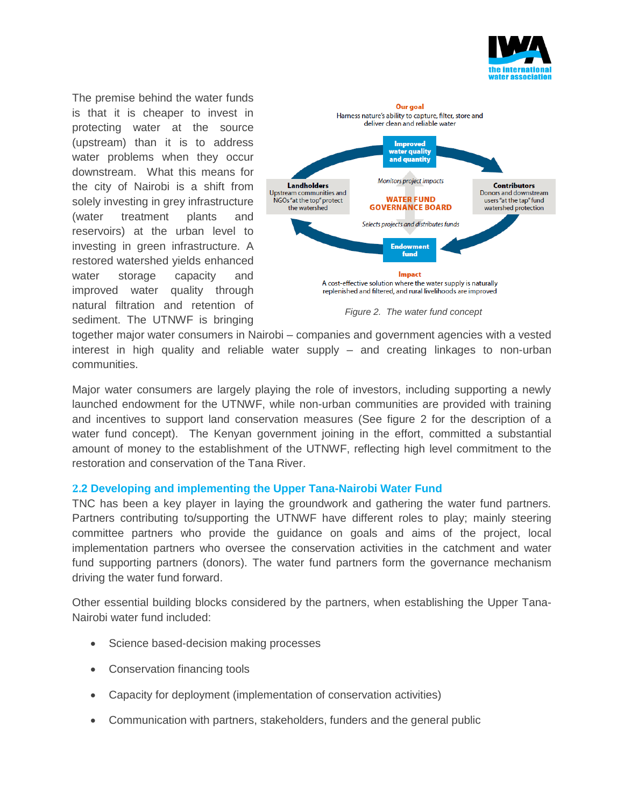

The premise behind the water funds is that it is cheaper to invest in protecting water at the source (upstream) than it is to address water problems when they occur downstream. What this means for the city of Nairobi is a shift from solely investing in grey infrastructure (water treatment plants and reservoirs) at the urban level to investing in green infrastructure. A restored watershed yields enhanced water storage capacity and improved water quality through natural filtration and retention of sediment. The UTNWF is bringing



*Figure 2. The water fund concept*

together major water consumers in Nairobi – companies and government agencies with a vested interest in high quality and reliable water supply – and creating linkages to non-urban communities.

Major water consumers are largely playing the role of investors, including supporting a newly launched endowment for the UTNWF, while non-urban communities are provided with training and incentives to support land conservation measures (See figure 2 for the description of a water fund concept). The Kenyan government joining in the effort, committed a substantial amount of money to the establishment of the UTNWF, reflecting high level commitment to the restoration and conservation of the Tana River.

## **2.2 Developing and implementing the Upper Tana-Nairobi Water Fund**

TNC has been a key player in laying the groundwork and gathering the water fund partners. Partners contributing to/supporting the UTNWF have different roles to play; mainly steering committee partners who provide the guidance on goals and aims of the project, local implementation partners who oversee the conservation activities in the catchment and water fund supporting partners (donors). The water fund partners form the governance mechanism driving the water fund forward.

Other essential building blocks considered by the partners, when establishing the Upper Tana-Nairobi water fund included:

- Science based-decision making processes
- Conservation financing tools
- Capacity for deployment (implementation of conservation activities)
- Communication with partners, stakeholders, funders and the general public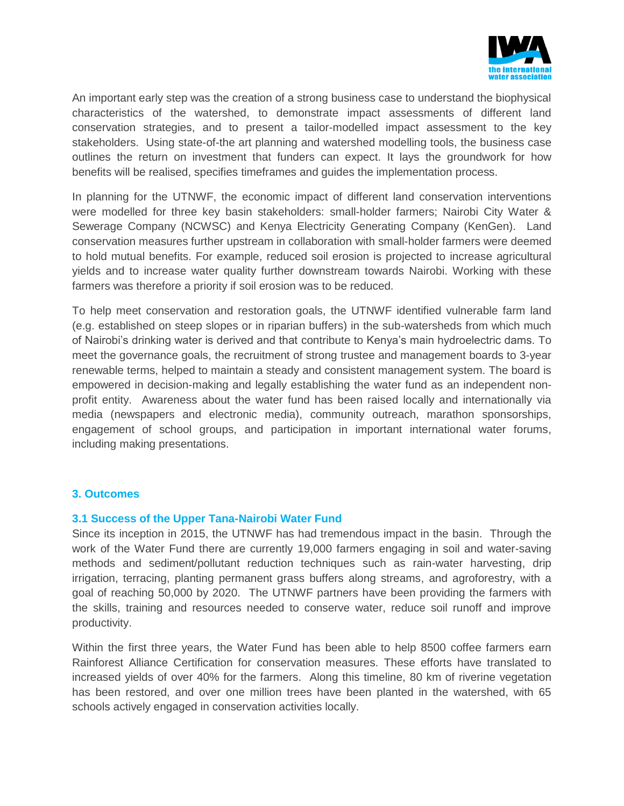

An important early step was the creation of a strong business case to understand the biophysical characteristics of the watershed, to demonstrate impact assessments of different land conservation strategies, and to present a tailor-modelled impact assessment to the key stakeholders. Using state-of-the art planning and watershed modelling tools, the business case outlines the return on investment that funders can expect. It lays the groundwork for how benefits will be realised, specifies timeframes and guides the implementation process.

In planning for the UTNWF, the economic impact of different land conservation interventions were modelled for three key basin stakeholders: small-holder farmers; Nairobi City Water & Sewerage Company (NCWSC) and Kenya Electricity Generating Company (KenGen). Land conservation measures further upstream in collaboration with small-holder farmers were deemed to hold mutual benefits. For example, reduced soil erosion is projected to increase agricultural yields and to increase water quality further downstream towards Nairobi. Working with these farmers was therefore a priority if soil erosion was to be reduced.

To help meet conservation and restoration goals, the UTNWF identified vulnerable farm land (e.g. established on steep slopes or in riparian buffers) in the sub-watersheds from which much of Nairobi's drinking water is derived and that contribute to Kenya's main hydroelectric dams. To meet the governance goals, the recruitment of strong trustee and management boards to 3-year renewable terms, helped to maintain a steady and consistent management system. The board is empowered in decision-making and legally establishing the water fund as an independent nonprofit entity. Awareness about the water fund has been raised locally and internationally via media (newspapers and electronic media), community outreach, marathon sponsorships, engagement of school groups, and participation in important international water forums, including making presentations.

## **3. Outcomes**

## **3.1 Success of the Upper Tana-Nairobi Water Fund**

Since its inception in 2015, the UTNWF has had tremendous impact in the basin. Through the work of the Water Fund there are currently 19,000 farmers engaging in soil and water-saving methods and sediment/pollutant reduction techniques such as rain-water harvesting, drip irrigation, terracing, planting permanent grass buffers along streams, and agroforestry, with a goal of reaching 50,000 by 2020. The UTNWF partners have been providing the farmers with the skills, training and resources needed to conserve water, reduce soil runoff and improve productivity.

Within the first three years, the Water Fund has been able to help 8500 coffee farmers earn Rainforest Alliance Certification for conservation measures. These efforts have translated to increased yields of over 40% for the farmers. Along this timeline, 80 km of riverine vegetation has been restored, and over one million trees have been planted in the watershed, with 65 schools actively engaged in conservation activities locally.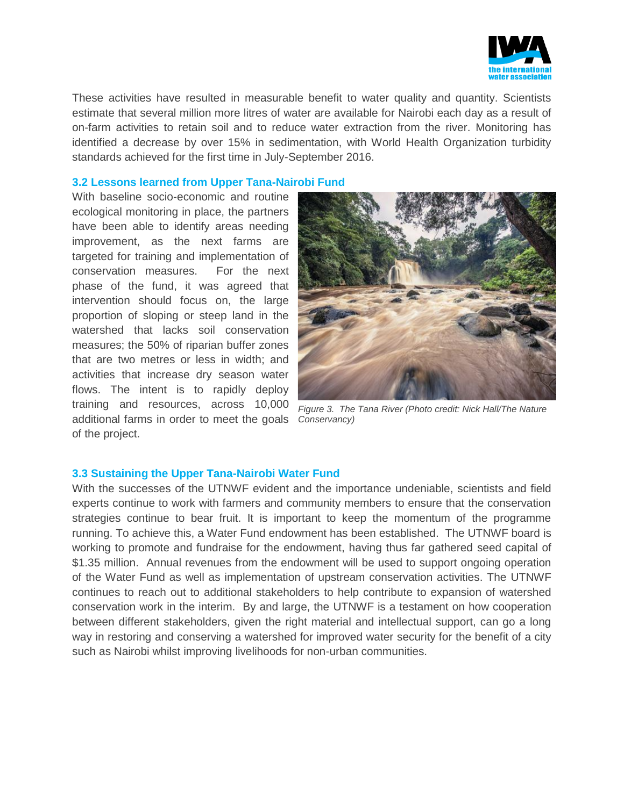

These activities have resulted in measurable benefit to water quality and quantity. Scientists estimate that several million more litres of water are available for Nairobi each day as a result of on-farm activities to retain soil and to reduce water extraction from the river. Monitoring has identified a decrease by over 15% in sedimentation, with World Health Organization turbidity standards achieved for the first time in July-September 2016.

#### **3.2 Lessons learned from Upper Tana-Nairobi Fund**

With baseline socio-economic and routine ecological monitoring in place, the partners have been able to identify areas needing improvement, as the next farms are targeted for training and implementation of conservation measures. For the next phase of the fund, it was agreed that intervention should focus on, the large proportion of sloping or steep land in the watershed that lacks soil conservation measures; the 50% of riparian buffer zones that are two metres or less in width; and activities that increase dry season water flows. The intent is to rapidly deploy training and resources, across 10,000 additional farms in order to meet the goals *Conservancy)*of the project.



*Figure 3. The Tana River (Photo credit: Nick Hall/The Nature* 

#### **3.3 Sustaining the Upper Tana-Nairobi Water Fund**

With the successes of the UTNWF evident and the importance undeniable, scientists and field experts continue to work with farmers and community members to ensure that the conservation strategies continue to bear fruit. It is important to keep the momentum of the programme running. To achieve this, a Water Fund endowment has been established. The UTNWF board is working to promote and fundraise for the endowment, having thus far gathered seed capital of \$1.35 million. Annual revenues from the endowment will be used to support ongoing operation of the Water Fund as well as implementation of upstream conservation activities. The UTNWF continues to reach out to additional stakeholders to help contribute to expansion of watershed conservation work in the interim. By and large, the UTNWF is a testament on how cooperation between different stakeholders, given the right material and intellectual support, can go a long way in restoring and conserving a watershed for improved water security for the benefit of a city such as Nairobi whilst improving livelihoods for non-urban communities.